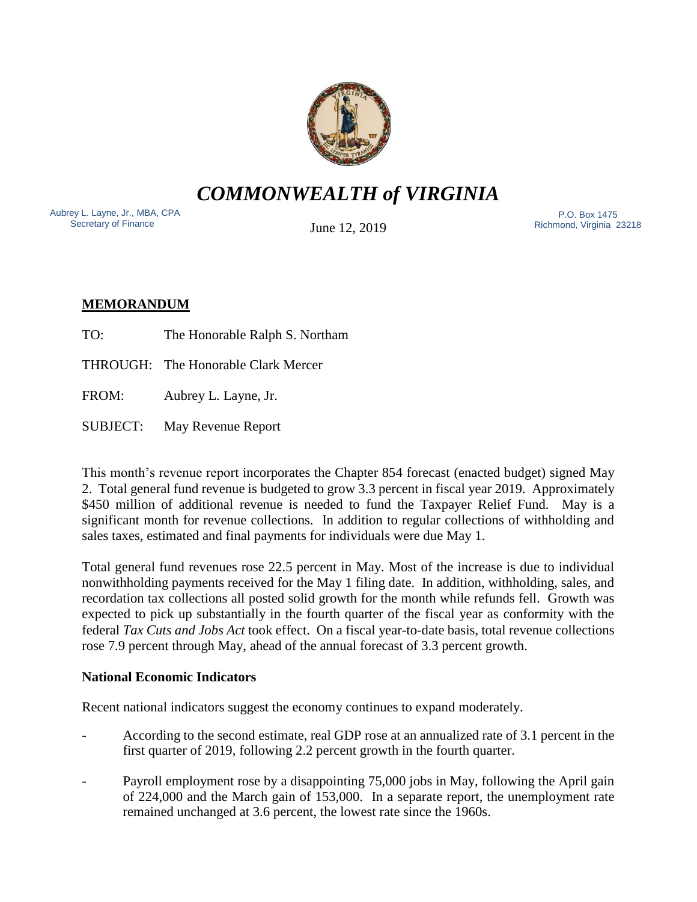

*COMMONWEALTH of VIRGINIA*

Aubrey L. Layne, Jr., MBA, CPA Secretary of Finance

June 12, 2019

 P.O. Box 1475 Richmond, Virginia 23218

# **MEMORANDUM**

TO: The Honorable Ralph S. Northam

THROUGH: The Honorable Clark Mercer

FROM: Aubrey L. Layne, Jr.

SUBJECT: May Revenue Report

This month's revenue report incorporates the Chapter 854 forecast (enacted budget) signed May 2. Total general fund revenue is budgeted to grow 3.3 percent in fiscal year 2019. Approximately \$450 million of additional revenue is needed to fund the Taxpayer Relief Fund. May is a significant month for revenue collections. In addition to regular collections of withholding and sales taxes, estimated and final payments for individuals were due May 1.

Total general fund revenues rose 22.5 percent in May. Most of the increase is due to individual nonwithholding payments received for the May 1 filing date. In addition, withholding, sales, and recordation tax collections all posted solid growth for the month while refunds fell. Growth was expected to pick up substantially in the fourth quarter of the fiscal year as conformity with the federal *Tax Cuts and Jobs Act* took effect. On a fiscal year-to-date basis, total revenue collections rose 7.9 percent through May, ahead of the annual forecast of 3.3 percent growth.

## **National Economic Indicators**

Recent national indicators suggest the economy continues to expand moderately.

- According to the second estimate, real GDP rose at an annualized rate of 3.1 percent in the first quarter of 2019, following 2.2 percent growth in the fourth quarter.
- Payroll employment rose by a disappointing 75,000 jobs in May, following the April gain of 224,000 and the March gain of 153,000. In a separate report, the unemployment rate remained unchanged at 3.6 percent, the lowest rate since the 1960s.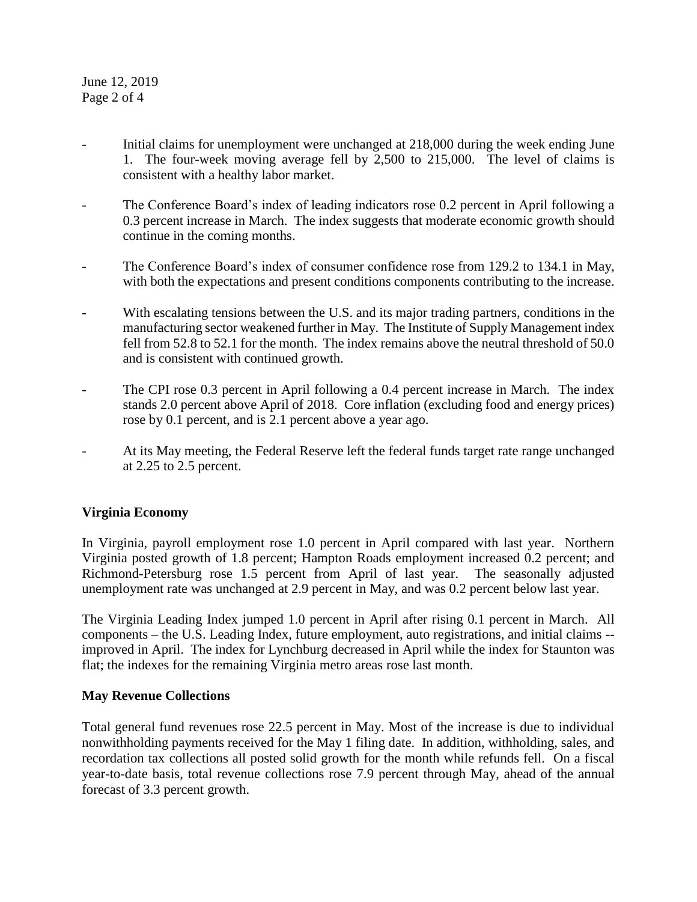June 12, 2019 Page 2 of 4

- Initial claims for unemployment were unchanged at 218,000 during the week ending June 1. The four-week moving average fell by 2,500 to 215,000. The level of claims is consistent with a healthy labor market.
- The Conference Board's index of leading indicators rose 0.2 percent in April following a 0.3 percent increase in March. The index suggests that moderate economic growth should continue in the coming months.
- The Conference Board's index of consumer confidence rose from 129.2 to 134.1 in May, with both the expectations and present conditions components contributing to the increase.
- With escalating tensions between the U.S. and its major trading partners, conditions in the manufacturing sector weakened further in May. The Institute of Supply Management index fell from 52.8 to 52.1 for the month. The index remains above the neutral threshold of 50.0 and is consistent with continued growth.
- The CPI rose 0.3 percent in April following a 0.4 percent increase in March. The index stands 2.0 percent above April of 2018. Core inflation (excluding food and energy prices) rose by 0.1 percent, and is 2.1 percent above a year ago.
- At its May meeting, the Federal Reserve left the federal funds target rate range unchanged at 2.25 to 2.5 percent.

### **Virginia Economy**

In Virginia, payroll employment rose 1.0 percent in April compared with last year. Northern Virginia posted growth of 1.8 percent; Hampton Roads employment increased 0.2 percent; and Richmond-Petersburg rose 1.5 percent from April of last year. The seasonally adjusted unemployment rate was unchanged at 2.9 percent in May, and was 0.2 percent below last year.

The Virginia Leading Index jumped 1.0 percent in April after rising 0.1 percent in March. All components – the U.S. Leading Index, future employment, auto registrations, and initial claims - improved in April. The index for Lynchburg decreased in April while the index for Staunton was flat; the indexes for the remaining Virginia metro areas rose last month.

### **May Revenue Collections**

Total general fund revenues rose 22.5 percent in May. Most of the increase is due to individual nonwithholding payments received for the May 1 filing date. In addition, withholding, sales, and recordation tax collections all posted solid growth for the month while refunds fell. On a fiscal year-to-date basis, total revenue collections rose 7.9 percent through May, ahead of the annual forecast of 3.3 percent growth.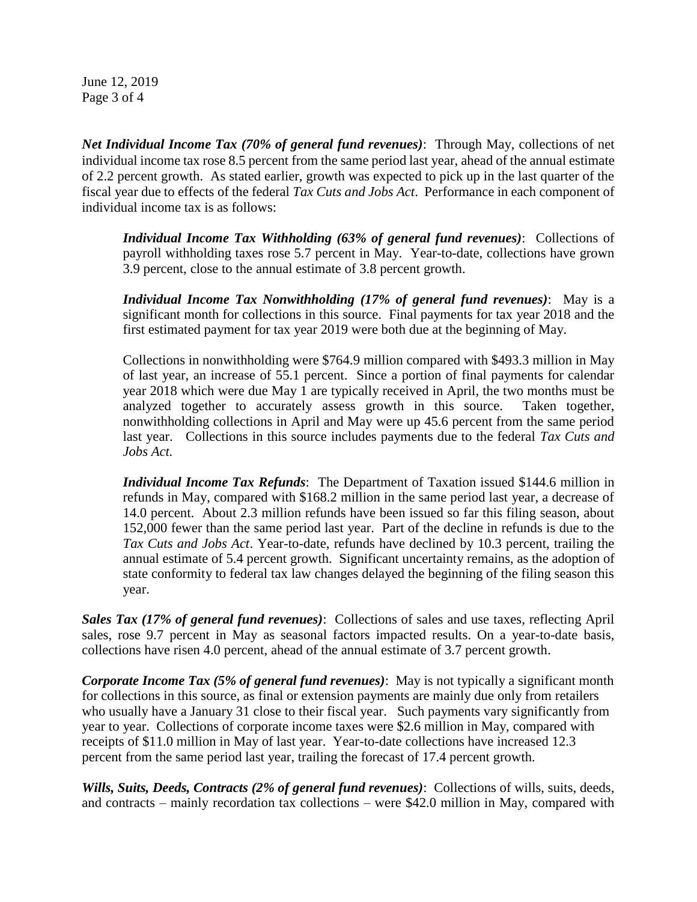June 12, 2019 Page 3 of 4

*Net Individual Income Tax (70% of general fund revenues)*: Through May, collections of net individual income tax rose 8.5 percent from the same period last year, ahead of the annual estimate of 2.2 percent growth. As stated earlier, growth was expected to pick up in the last quarter of the fiscal year due to effects of the federal *Tax Cuts and Jobs Act*. Performance in each component of individual income tax is as follows:

*Individual Income Tax Withholding (63% of general fund revenues)*: Collections of payroll withholding taxes rose 5.7 percent in May. Year-to-date, collections have grown 3.9 percent, close to the annual estimate of 3.8 percent growth.

*Individual Income Tax Nonwithholding (17% of general fund revenues)*: May is a significant month for collections in this source. Final payments for tax year 2018 and the first estimated payment for tax year 2019 were both due at the beginning of May.

Collections in nonwithholding were \$764.9 million compared with \$493.3 million in May of last year, an increase of 55.1 percent. Since a portion of final payments for calendar year 2018 which were due May 1 are typically received in April, the two months must be analyzed together to accurately assess growth in this source. Taken together, nonwithholding collections in April and May were up 45.6 percent from the same period last year. Collections in this source includes payments due to the federal *Tax Cuts and Jobs Act.*

*Individual Income Tax Refunds*: The Department of Taxation issued \$144.6 million in refunds in May, compared with \$168.2 million in the same period last year, a decrease of 14.0 percent. About 2.3 million refunds have been issued so far this filing season, about 152,000 fewer than the same period last year. Part of the decline in refunds is due to the *Tax Cuts and Jobs Act*. Year-to-date, refunds have declined by 10.3 percent, trailing the annual estimate of 5.4 percent growth. Significant uncertainty remains, as the adoption of state conformity to federal tax law changes delayed the beginning of the filing season this year.

*Sales Tax (17% of general fund revenues)*: Collections of sales and use taxes, reflecting April sales, rose 9.7 percent in May as seasonal factors impacted results. On a year-to-date basis, collections have risen 4.0 percent, ahead of the annual estimate of 3.7 percent growth.

*Corporate Income Tax (5% of general fund revenues)*: May is not typically a significant month for collections in this source, as final or extension payments are mainly due only from retailers who usually have a January 31 close to their fiscal year. Such payments vary significantly from year to year. Collections of corporate income taxes were \$2.6 million in May, compared with receipts of \$11.0 million in May of last year. Year-to-date collections have increased 12.3 percent from the same period last year, trailing the forecast of 17.4 percent growth.

*Wills, Suits, Deeds, Contracts (2% of general fund revenues)*: Collections of wills, suits, deeds, and contracts – mainly recordation tax collections – were \$42.0 million in May, compared with